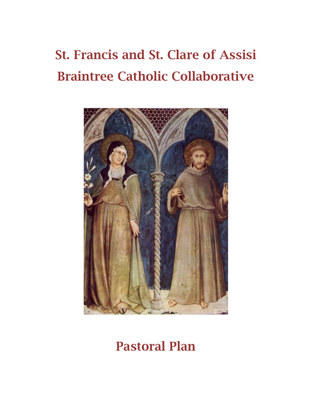# **St. Francis and St. Clare of Assisi Braintree Catholic Collaborative**



## **Pastoral Plan**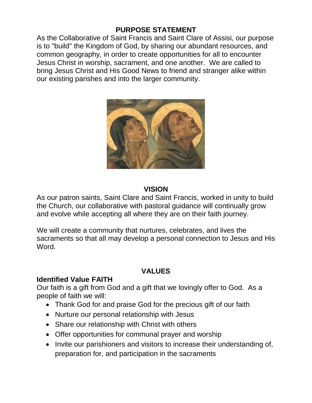#### **PURPOSE STATEMENT**

As the Collaborative of Saint Francis and Saint Clare of Assisi, our purpose is to "build" the Kingdom of God, by sharing our abundant resources, and common geography, in order to create opportunities for all to encounter Jesus Christ in worship, sacrament, and one another. We are called to bring Jesus Christ and His Good News to friend and stranger alike within our existing parishes and into the larger community.



#### **VISION**

As our patron saints, Saint Clare and Saint Francis, worked in unity to build the Church, our collaborative with pastoral guidance will continually grow and evolve while accepting all where they are on their faith journey.

We will create a community that nurtures, celebrates, and lives the sacraments so that all may develop a personal connection to Jesus and His Word.

#### **VALUES**

#### **Identified Value FAITH**

Our faith is a gift from God and a gift that we lovingly offer to God. As a people of faith we will:

- Thank God for and praise God for the precious gift of our faith
- Nurture our personal relationship with Jesus
- Share our relationship with Christ with others
- Offer opportunities for communal prayer and worship
- Invite our parishioners and visitors to increase their understanding of, preparation for, and participation in the sacraments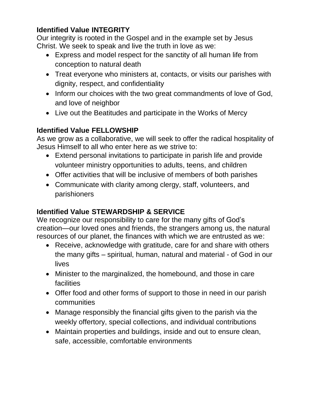### **Identified Value INTEGRITY**

Our integrity is rooted in the Gospel and in the example set by Jesus Christ. We seek to speak and live the truth in love as we:

- Express and model respect for the sanctity of all human life from conception to natural death
- Treat everyone who ministers at, contacts, or visits our parishes with dignity, respect, and confidentiality
- Inform our choices with the two great commandments of love of God, and love of neighbor
- Live out the Beatitudes and participate in the Works of Mercy

### **Identified Value FELLOWSHIP**

As we grow as a collaborative, we will seek to offer the radical hospitality of Jesus Himself to all who enter here as we strive to:

- Extend personal invitations to participate in parish life and provide volunteer ministry opportunities to adults, teens, and children
- Offer activities that will be inclusive of members of both parishes
- Communicate with clarity among clergy, staff, volunteers, and parishioners

### **Identified Value STEWARDSHIP & SERVICE**

We recognize our responsibility to care for the many gifts of God's creation—our loved ones and friends, the strangers among us, the natural resources of our planet, the finances with which we are entrusted as we:

- Receive, acknowledge with gratitude, care for and share with others the many gifts – spiritual, human, natural and material - of God in our lives
- Minister to the marginalized, the homebound, and those in care facilities
- Offer food and other forms of support to those in need in our parish communities
- Manage responsibly the financial gifts given to the parish via the weekly offertory, special collections, and individual contributions
- Maintain properties and buildings, inside and out to ensure clean, safe, accessible, comfortable environments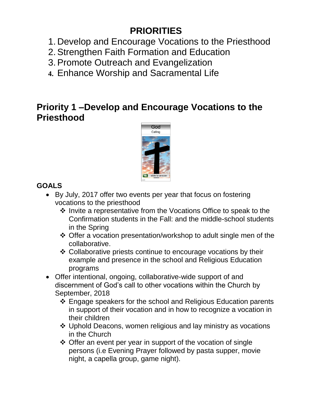### **PRIORITIES**

- 1. Develop and Encourage Vocations to the Priesthood
- 2. Strengthen Faith Formation and Education
- 3. Promote Outreach and Evangelization
- **4.** Enhance Worship and Sacramental Life

### **Priority 1 –Develop and Encourage Vocations to the Priesthood**



### **GOALS**

- By July, 2017 offer two events per year that focus on fostering vocations to the priesthood
	- $\cdot$  Invite a representative from the Vocations Office to speak to the Confirmation students in the Fall: and the middle-school students in the Spring
	- Offer a vocation presentation/workshop to adult single men of the collaborative.
	- Collaborative priests continue to encourage vocations by their example and presence in the school and Religious Education programs
- Offer intentional, ongoing, collaborative-wide support of and discernment of God's call to other vocations within the Church by September, 2018
	- Engage speakers for the school and Religious Education parents in support of their vocation and in how to recognize a vocation in their children
	- Uphold Deacons, women religious and lay ministry as vocations in the Church
	- $\div$  Offer an event per year in support of the vocation of single persons (i.e Evening Prayer followed by pasta supper, movie night, a capella group, game night).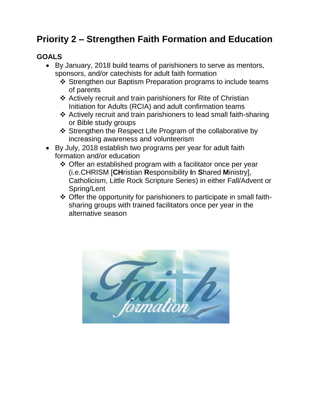### **Priority 2 – Strengthen Faith Formation and Education**

### **GOALS**

- By January, 2018 build teams of parishioners to serve as mentors, sponsors, and/or catechists for adult faith formation
	- ❖ Strengthen our Baptism Preparation programs to include teams of parents
	- Actively recruit and train parishioners for Rite of Christian Initiation for Adults (RCIA) and adult confirmation teams
	- Actively recruit and train parishioners to lead small faith-sharing or Bible study groups
	- ❖ Strengthen the Respect Life Program of the collaborative by increasing awareness and volunteerism
- By July, 2018 establish two programs per year for adult faith formation and/or education
	- $\div$  Offer an established program with a facilitator once per year (i.e.CHRISM [**CH**ristian **R**esponsibility **I**n **S**hared **M**inistry], Catholicism, Little Rock Scripture Series) in either Fall/Advent or Spring/Lent
	- $\div$  Offer the opportunity for parishioners to participate in small faithsharing groups with trained facilitators once per year in the alternative season